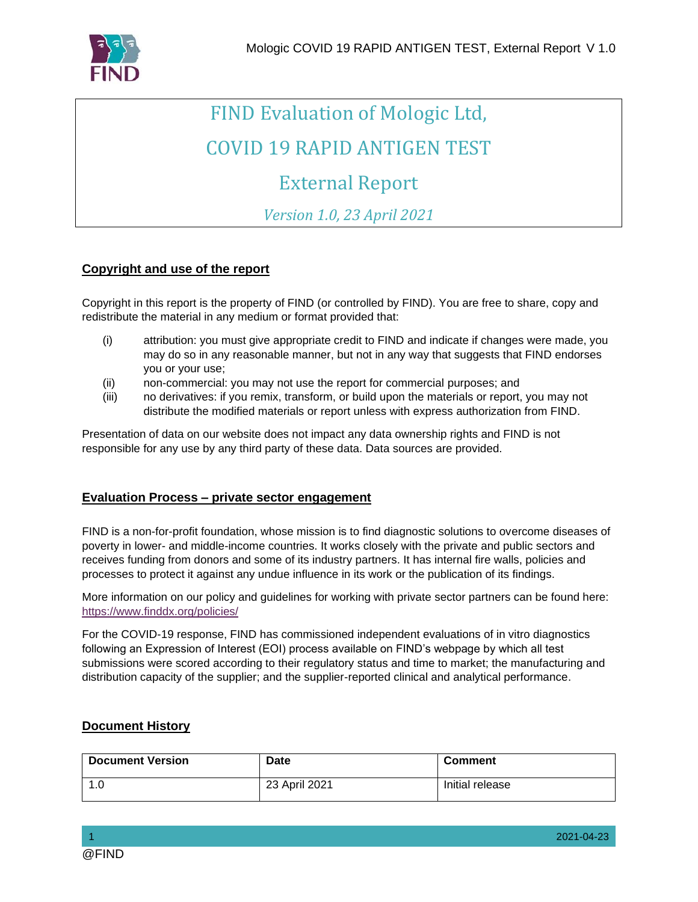

# FIND Evaluation of Mologic Ltd, COVID 19 RAPID ANTIGEN TEST

## External Report

*Version 1.0, 23 April 2021*

#### **Copyright and use of the report**

Copyright in this report is the property of FIND (or controlled by FIND). You are free to share, copy and redistribute the material in any medium or format provided that:

- (i) attribution: you must give appropriate credit to FIND and indicate if changes were made, you may do so in any reasonable manner, but not in any way that suggests that FIND endorses you or your use;
- (ii) non-commercial: you may not use the report for commercial purposes; and
- (iii) no derivatives: if you remix, transform, or build upon the materials or report, you may not distribute the modified materials or report unless with express authorization from FIND.

Presentation of data on our website does not impact any data ownership rights and FIND is not responsible for any use by any third party of these data. Data sources are provided.

#### **Evaluation Process – private sector engagement**

FIND is a non-for-profit foundation, whose mission is to find diagnostic solutions to overcome diseases of poverty in lower- and middle-income countries. It works closely with the private and public sectors and receives funding from donors and some of its industry partners. It has internal fire walls, policies and processes to protect it against any undue influence in its work or the publication of its findings.

More information on our policy and guidelines for working with private sector partners can be found here: <https://www.finddx.org/policies/>

For the COVID-19 response, FIND has commissioned independent evaluations of in vitro diagnostics following an Expression of Interest (EOI) process available on FIND's webpage by which all test submissions were scored according to their regulatory status and time to market; the manufacturing and distribution capacity of the supplier; and the supplier-reported clinical and analytical performance.

#### **Document History**

| <b>Document Version</b> | Date          | <b>Comment</b>  |
|-------------------------|---------------|-----------------|
| ن. ا                    | 23 April 2021 | Initial release |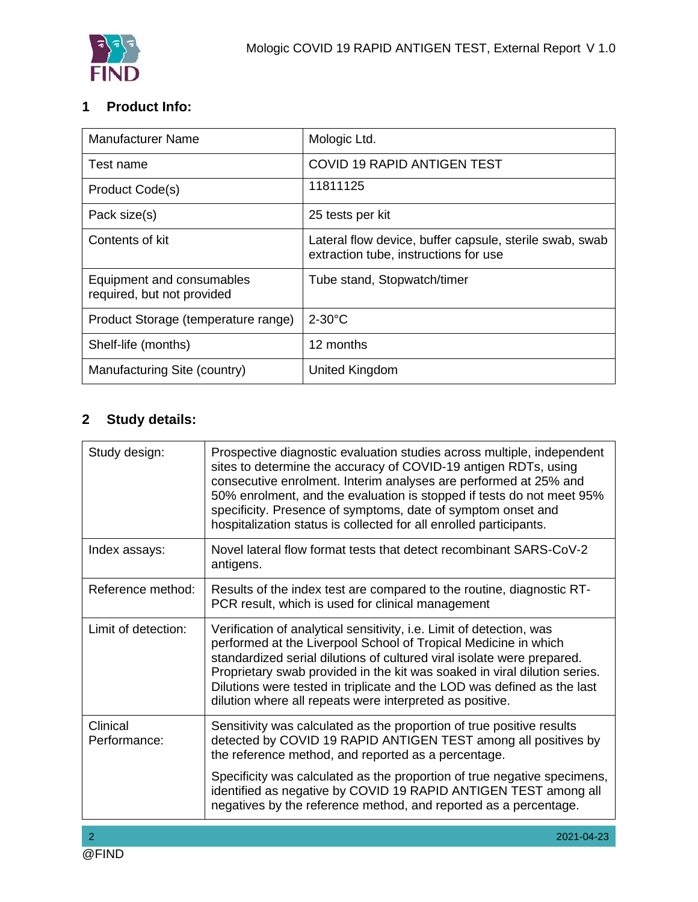

## **1 Product Info:**

| <b>Manufacturer Name</b>                                | Mologic Ltd.                                                                                     |
|---------------------------------------------------------|--------------------------------------------------------------------------------------------------|
| Test name                                               | <b>COVID 19 RAPID ANTIGEN TEST</b>                                                               |
| Product Code(s)                                         | 11811125                                                                                         |
| Pack size(s)                                            | 25 tests per kit                                                                                 |
| Contents of kit                                         | Lateral flow device, buffer capsule, sterile swab, swab<br>extraction tube, instructions for use |
| Equipment and consumables<br>required, but not provided | Tube stand, Stopwatch/timer                                                                      |
| Product Storage (temperature range)                     | $2-30^{\circ}$ C                                                                                 |
| Shelf-life (months)                                     | 12 months                                                                                        |
| Manufacturing Site (country)                            | United Kingdom                                                                                   |

## **2 Study details:**

| Prospective diagnostic evaluation studies across multiple, independent<br>sites to determine the accuracy of COVID-19 antigen RDTs, using<br>consecutive enrolment. Interim analyses are performed at 25% and<br>50% enrolment, and the evaluation is stopped if tests do not meet 95%<br>specificity. Presence of symptoms, date of symptom onset and<br>hospitalization status is collected for all enrolled participants.          |  |
|---------------------------------------------------------------------------------------------------------------------------------------------------------------------------------------------------------------------------------------------------------------------------------------------------------------------------------------------------------------------------------------------------------------------------------------|--|
| Novel lateral flow format tests that detect recombinant SARS-CoV-2<br>antigens.                                                                                                                                                                                                                                                                                                                                                       |  |
| Results of the index test are compared to the routine, diagnostic RT-<br>PCR result, which is used for clinical management                                                                                                                                                                                                                                                                                                            |  |
| Verification of analytical sensitivity, i.e. Limit of detection, was<br>performed at the Liverpool School of Tropical Medicine in which<br>standardized serial dilutions of cultured viral isolate were prepared.<br>Proprietary swab provided in the kit was soaked in viral dilution series.<br>Dilutions were tested in triplicate and the LOD was defined as the last<br>dilution where all repeats were interpreted as positive. |  |
| Sensitivity was calculated as the proportion of true positive results<br>detected by COVID 19 RAPID ANTIGEN TEST among all positives by<br>the reference method, and reported as a percentage.                                                                                                                                                                                                                                        |  |
| Specificity was calculated as the proportion of true negative specimens,<br>identified as negative by COVID 19 RAPID ANTIGEN TEST among all<br>negatives by the reference method, and reported as a percentage.                                                                                                                                                                                                                       |  |
|                                                                                                                                                                                                                                                                                                                                                                                                                                       |  |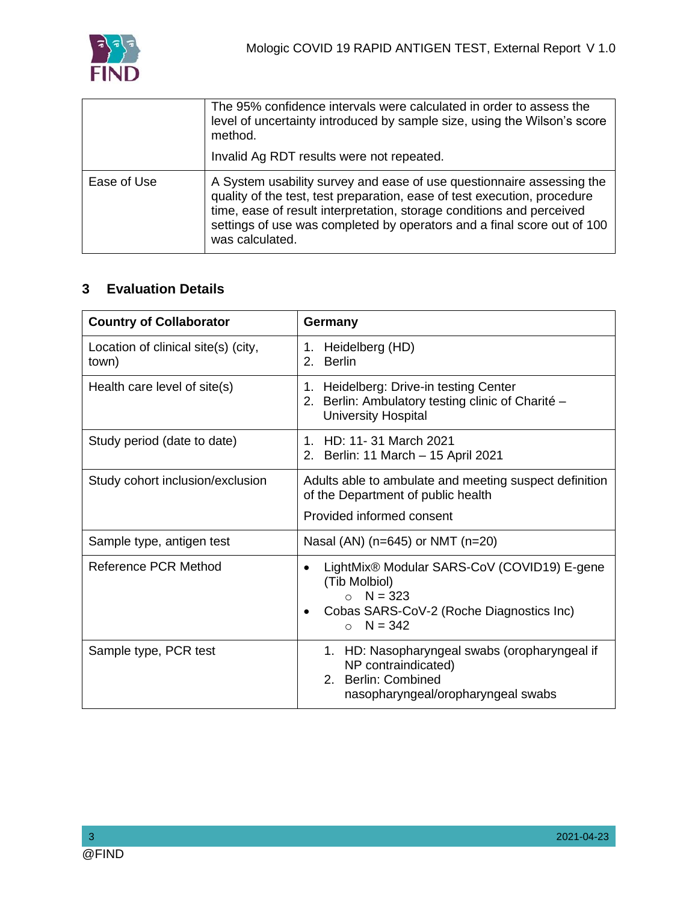

|             | The 95% confidence intervals were calculated in order to assess the<br>level of uncertainty introduced by sample size, using the Wilson's score<br>method.                                                                                                                                                               |  |
|-------------|--------------------------------------------------------------------------------------------------------------------------------------------------------------------------------------------------------------------------------------------------------------------------------------------------------------------------|--|
|             | Invalid Ag RDT results were not repeated.                                                                                                                                                                                                                                                                                |  |
| Ease of Use | A System usability survey and ease of use questionnaire assessing the<br>quality of the test, test preparation, ease of test execution, procedure<br>time, ease of result interpretation, storage conditions and perceived<br>settings of use was completed by operators and a final score out of 100<br>was calculated. |  |

## **3 Evaluation Details**

| <b>Country of Collaborator</b>               | Germany                                                                                                                                                           |  |
|----------------------------------------------|-------------------------------------------------------------------------------------------------------------------------------------------------------------------|--|
| Location of clinical site(s) (city,<br>town) | 1. Heidelberg (HD)<br><b>Berlin</b><br>2.                                                                                                                         |  |
| Health care level of site(s)                 | 1. Heidelberg: Drive-in testing Center<br>2. Berlin: Ambulatory testing clinic of Charité -<br><b>University Hospital</b>                                         |  |
| Study period (date to date)                  | 1. HD: 11-31 March 2021<br>2. Berlin: 11 March - 15 April 2021                                                                                                    |  |
| Study cohort inclusion/exclusion             | Adults able to ambulate and meeting suspect definition<br>of the Department of public health<br>Provided informed consent                                         |  |
| Sample type, antigen test                    | Nasal (AN) ( $n=645$ ) or NMT ( $n=20$ )                                                                                                                          |  |
| Reference PCR Method                         | LightMix® Modular SARS-CoV (COVID19) E-gene<br>$\bullet$<br>(Tib Molbiol)<br>$\circ$ N = 323<br>Cobas SARS-CoV-2 (Roche Diagnostics Inc)<br>$N = 342$<br>$\Omega$ |  |
| Sample type, PCR test                        | 1. HD: Nasopharyngeal swabs (oropharyngeal if<br>NP contraindicated)<br>2. Berlin: Combined<br>nasopharyngeal/oropharyngeal swabs                                 |  |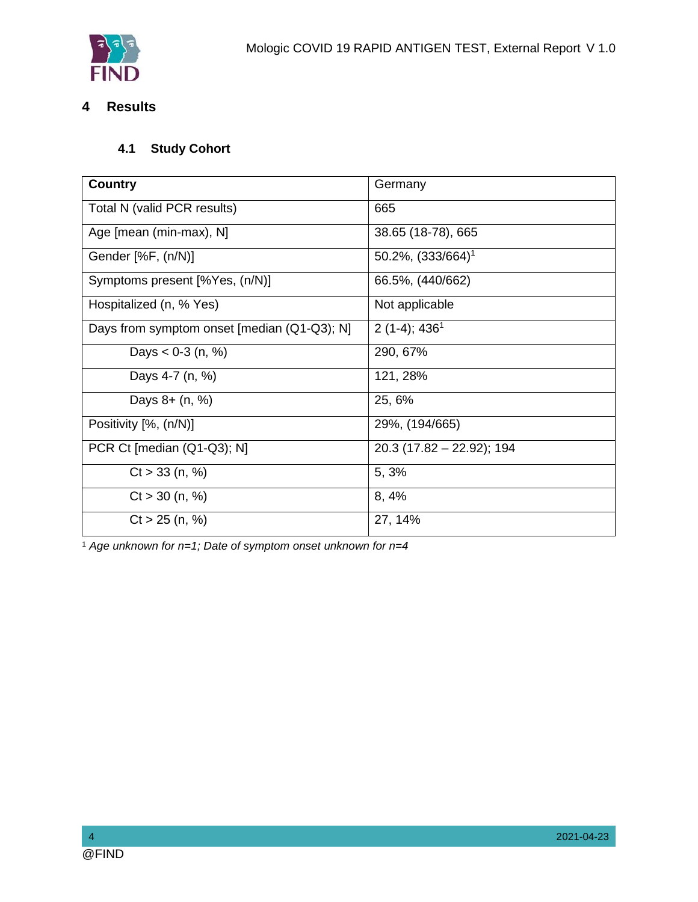## **4 Results**

## **4.1 Study Cohort**

| <b>Country</b>                              | Germany                     |
|---------------------------------------------|-----------------------------|
| Total N (valid PCR results)                 | 665                         |
| Age [mean (min-max), N]                     | 38.65 (18-78), 665          |
| Gender [%F, (n/N)]                          | $50.2\%$ , $(333/664)^1$    |
| Symptoms present [%Yes, (n/N)]              | 66.5%, (440/662)            |
| Hospitalized (n, % Yes)                     | Not applicable              |
| Days from symptom onset [median (Q1-Q3); N] | $2(1-4); 4361$              |
| Days $< 0.3$ (n, %)                         | 290, 67%                    |
| Days 4-7 (n, %)                             | 121, 28%                    |
| Days 8+ (n, %)                              | 25, 6%                      |
| Positivity [%, (n/N)]                       | 29%, (194/665)              |
| PCR Ct [median (Q1-Q3); N]                  | $20.3$ (17.82 - 22.92); 194 |
| $Ct > 33$ (n, %)                            | 5, 3%                       |
| $Ct > 30$ (n, %)                            | 8, 4%                       |
| $Ct > 25$ (n, %)                            | 27, 14%                     |

<sup>1</sup> *Age unknown for n=1; Date of symptom onset unknown for n=4*